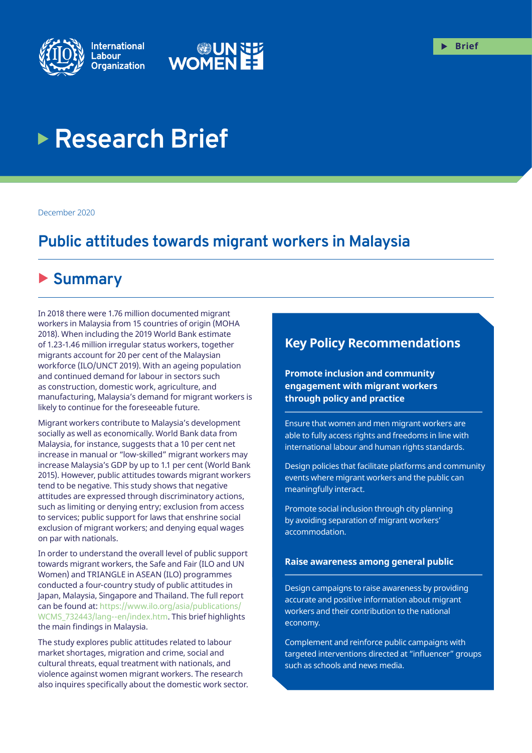



# **Research Brief**

December 2020

# **Public attitudes towards migrant workers in Malaysia**

# ▶ Summary

In 2018 there were 1.76 million documented migrant workers in Malaysia from 15 countries of origin (MOHA 2018). When including the 2019 World Bank estimate of 1.23-1.46 million irregular status workers, together migrants account for 20 per cent of the Malaysian workforce (ILO/UNCT 2019). With an ageing population and continued demand for labour in sectors such as construction, domestic work, agriculture, and manufacturing, Malaysia's demand for migrant workers is likely to continue for the foreseeable future.

Migrant workers contribute to Malaysia's development socially as well as economically. World Bank data from Malaysia, for instance, suggests that a 10 per cent net increase in manual or "low-skilled" migrant workers may increase Malaysia's GDP by up to 1.1 per cent (World Bank 2015). However, public attitudes towards migrant workers tend to be negative. This study shows that negative attitudes are expressed through discriminatory actions, such as limiting or denying entry; exclusion from access to services; public support for laws that enshrine social exclusion of migrant workers; and denying equal wages on par with nationals.

In order to understand the overall level of public support towards migrant workers, the Safe and Fair (ILO and UN Women) and TRIANGLE in ASEAN (ILO) programmes conducted a four-country study of public attitudes in Japan, Malaysia, Singapore and Thailand. The full report can be found at: [https://www.ilo.org/asia/publications/](https://www.ilo.org/asia/publications/WCMS_732443/lang--en/index.htm) [WCMS\\_732443/lang--en/index.htm.](https://www.ilo.org/asia/publications/WCMS_732443/lang--en/index.htm) This brief highlights the main findings in Malaysia.

The study explores public attitudes related to labour market shortages, migration and crime, social and cultural threats, equal treatment with nationals, and violence against women migrant workers. The research also inquires specifically about the domestic work sector.

### **Key Policy Recommendations**

**Promote inclusion and community engagement with migrant workers through policy and practice**

Ensure that women and men migrant workers are able to fully access rights and freedoms in line with international labour and human rights standards.

Design policies that facilitate platforms and community events where migrant workers and the public can meaningfully interact.

Promote social inclusion through city planning by avoiding separation of migrant workers' accommodation.

#### **Raise awareness among general public**

Design campaigns to raise awareness by providing accurate and positive information about migrant workers and their contribution to the national economy.

Complement and reinforce public campaigns with targeted interventions directed at "influencer" groups such as schools and news media.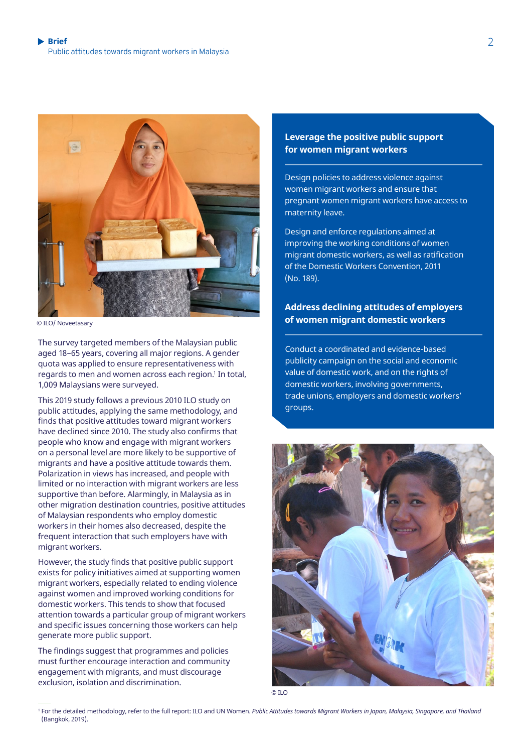

© ILO/ Noveetasary

The survey targeted members of the Malaysian public aged 18–65 years, covering all major regions. A gender quota was applied to ensure representativeness with regards to men and women across each region.<sup>1</sup> In total, 1,009 Malaysians were surveyed.

This 2019 study follows a previous 2010 ILO study on public attitudes, applying the same methodology, and finds that positive attitudes toward migrant workers have declined since 2010. The study also confirms that people who know and engage with migrant workers on a personal level are more likely to be supportive of migrants and have a positive attitude towards them. Polarization in views has increased, and people with limited or no interaction with migrant workers are less supportive than before. Alarmingly, in Malaysia as in other migration destination countries, positive attitudes of Malaysian respondents who employ domestic workers in their homes also decreased, despite the frequent interaction that such employers have with migrant workers.

However, the study finds that positive public support exists for policy initiatives aimed at supporting women migrant workers, especially related to ending violence against women and improved working conditions for domestic workers. This tends to show that focused attention towards a particular group of migrant workers and specific issues concerning those workers can help generate more public support.

The findings suggest that programmes and policies must further encourage interaction and community engagement with migrants, and must discourage exclusion, isolation and discrimination.

#### **Leverage the positive public support for women migrant workers**

Design policies to address violence against women migrant workers and ensure that pregnant women migrant workers have access to maternity leave.

Design and enforce regulations aimed at improving the working conditions of women migrant domestic workers, as well as ratification of the Domestic Workers Convention, 2011 (No. 189).

#### **Address declining attitudes of employers of women migrant domestic workers**

Conduct a coordinated and evidence-based publicity campaign on the social and economic value of domestic work, and on the rights of domestic workers, involving governments, trade unions, employers and domestic workers' groups.



© ILO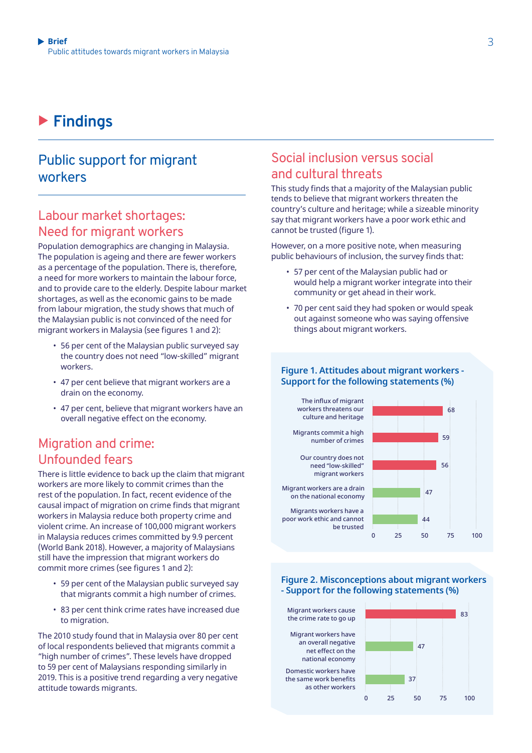# X **Findings**

### Public support for migrant workers

### Labour market shortages: Need for migrant workers

Population demographics are changing in Malaysia. The population is ageing and there are fewer workers as a percentage of the population. There is, therefore, a need for more workers to maintain the labour force, and to provide care to the elderly. Despite labour market shortages, as well as the economic gains to be made from labour migration, the study shows that much of the Malaysian public is not convinced of the need for migrant workers in Malaysia (see figures 1 and 2):

- 56 per cent of the Malaysian public surveyed say the country does not need "low-skilled" migrant workers.
- 47 per cent believe that migrant workers are a drain on the economy.
- 47 per cent, believe that migrant workers have an overall negative effect on the economy.

### Migration and crime: Unfounded fears

There is little evidence to back up the claim that migrant workers are more likely to commit crimes than the rest of the population. In fact, recent evidence of the causal impact of migration on crime finds that migrant workers in Malaysia reduce both property crime and violent crime. An increase of 100,000 migrant workers in Malaysia reduces crimes committed by 9.9 percent (World Bank 2018). However, a majority of Malaysians still have the impression that migrant workers do commit more crimes (see figures 1 and 2):

- 59 per cent of the Malaysian public surveyed say that migrants commit a high number of crimes.
- 83 per cent think crime rates have increased due to migration.

The 2010 study found that in Malaysia over 80 per cent of local respondents believed that migrants commit a "high number of crimes". These levels have dropped to 59 per cent of Malaysians responding similarly in 2019. This is a positive trend regarding a very negative attitude towards migrants.

### Social inclusion versus social and cultural threats

This study finds that a majority of the Malaysian public tends to believe that migrant workers threaten the country's culture and heritage; while a sizeable minority say that migrant workers have a poor work ethic and cannot be trusted (figure 1).

However, on a more positive note, when measuring public behaviours of inclusion, the survey finds that:

- 57 per cent of the Malaysian public had or would help a migrant worker integrate into their community or get ahead in their work.
- 70 per cent said they had spoken or would speak out against someone who was saying offensive things about migrant workers.

#### **Figure 1. Attitudes about migrant workers - Support for the following statements (%)**

Our country does not need "low-skilled" migrant workers Migrants commit a high number of crimes Migrants workers have a poor work ethic and cannot be trusted Migrant workers are a drain on the national economy The influx of migrant workers threatens our culture and heritage 75 50 25  $\overline{0}$ 100 59 47 68 56  $\Delta\Delta$ 

**Figure 2. Misconceptions about migrant workers - Support for the following statements (%)**

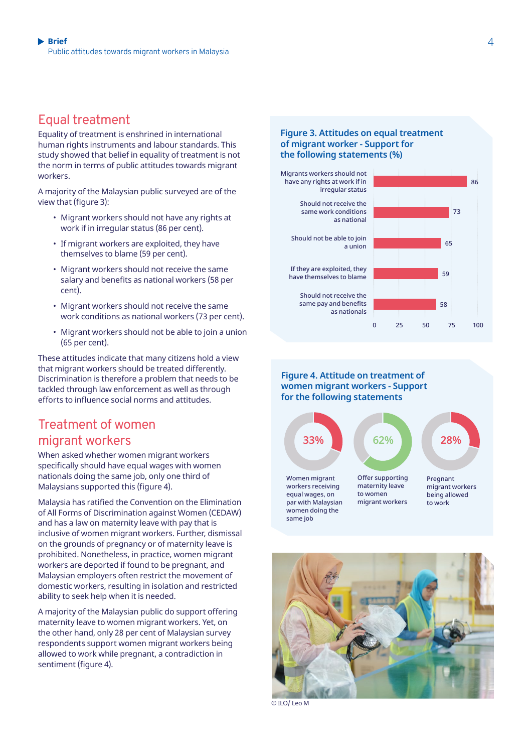### Equal treatment

Equality of treatment is enshrined in international human rights instruments and labour standards. This study showed that belief in equality of treatment is not the norm in terms of public attitudes towards migrant workers.

A majority of the Malaysian public surveyed are of the view that (figure 3):

- Migrant workers should not have any rights at work if in irregular status (86 per cent).
- If migrant workers are exploited, they have themselves to blame (59 per cent).
- Migrant workers should not receive the same salary and benefits as national workers (58 per cent).
- Migrant workers should not receive the same work conditions as national workers (73 per cent).
- Migrant workers should not be able to join a union (65 per cent).

These attitudes indicate that many citizens hold a view that migrant workers should be treated differently. Discrimination is therefore a problem that needs to be tackled through law enforcement as well as through efforts to influence social norms and attitudes.

### Treatment of women migrant workers

When asked whether women migrant workers specifically should have equal wages with women nationals doing the same job, only one third of Malaysians supported this (figure 4).

Malaysia has ratified the Convention on the Elimination of All Forms of Discrimination against Women (CEDAW) and has a law on maternity leave with pay that is inclusive of women migrant workers. Further, dismissal on the grounds of pregnancy or of maternity leave is prohibited. Nonetheless, in practice, women migrant workers are deported if found to be pregnant, and Malaysian employers often restrict the movement of domestic workers, resulting in isolation and restricted ability to seek help when it is needed.

A majority of the Malaysian public do support offering maternity leave to women migrant workers. Yet, on the other hand, only 28 per cent of Malaysian survey respondents support women migrant workers being allowed to work while pregnant, a contradiction in sentiment (figure 4).

#### **Figure 3. Attitudes on equal treatment of migrant worker - Support for the following statements (%)**



#### **Figure 4. Attitude on treatment of women migrant workers - Support for the following statements**





© ILO/ Leo M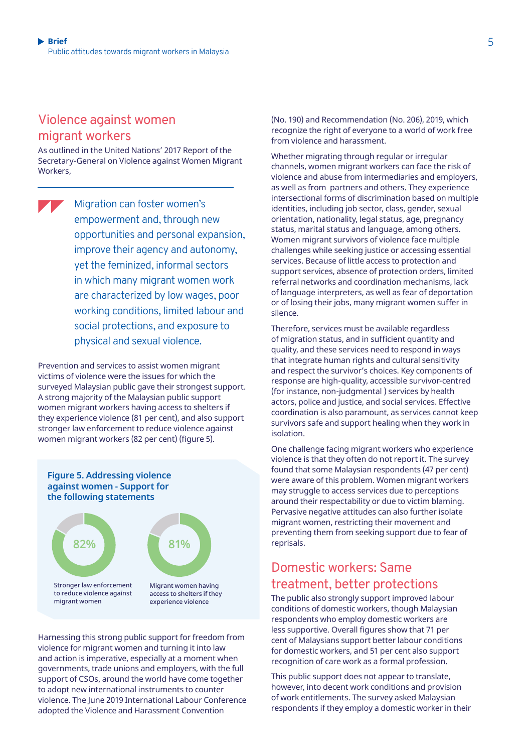### Violence against women migrant workers

As outlined in the United Nations' 2017 Report of the Secretary-General on Violence against Women Migrant Workers,

```
Migration can foster women's 
empowerment and, through new 
opportunities and personal expansion, 
improve their agency and autonomy, 
yet the feminized, informal sectors 
in which many migrant women work 
are characterized by low wages, poor 
working conditions, limited labour and 
social protections, and exposure to 
physical and sexual violence.
```
Prevention and services to assist women migrant victims of violence were the issues for which the surveyed Malaysian public gave their strongest support. A strong majority of the Malaysian public support women migrant workers having access to shelters if they experience violence (81 per cent), and also support stronger law enforcement to reduce violence against women migrant workers (82 per cent) (figure 5).



Harnessing this strong public support for freedom from violence for migrant women and turning it into law and action is imperative, especially at a moment when governments, trade unions and employers, with the full support of CSOs, around the world have come together to adopt new international instruments to counter violence. The June 2019 International Labour Conference adopted the Violence and Harassment Convention

(No. 190) and Recommendation (No. 206), 2019, which recognize the right of everyone to a world of work free from violence and harassment.

Whether migrating through regular or irregular channels, women migrant workers can face the risk of violence and abuse from intermediaries and employers, as well as from partners and others. They experience intersectional forms of discrimination based on multiple identities, including job sector, class, gender, sexual orientation, nationality, legal status, age, pregnancy status, marital status and language, among others. Women migrant survivors of violence face multiple challenges while seeking justice or accessing essential services. Because of little access to protection and support services, absence of protection orders, limited referral networks and coordination mechanisms, lack of language interpreters, as well as fear of deportation or of losing their jobs, many migrant women suffer in silence.

Therefore, services must be available regardless of migration status, and in sufficient quantity and quality, and these services need to respond in ways that integrate human rights and cultural sensitivity and respect the survivor's choices. Key components of response are high-quality, accessible survivor-centred (for instance, non-judgmental ) services by health actors, police and justice, and social services. Effective coordination is also paramount, as services cannot keep survivors safe and support healing when they work in isolation.

One challenge facing migrant workers who experience violence is that they often do not report it. The survey found that some Malaysian respondents (47 per cent) were aware of this problem. Women migrant workers may struggle to access services due to perceptions around their respectability or due to victim blaming. Pervasive negative attitudes can also further isolate migrant women, restricting their movement and preventing them from seeking support due to fear of reprisals.

### Domestic workers: Same treatment, better protections

The public also strongly support improved labour conditions of domestic workers, though Malaysian respondents who employ domestic workers are less supportive. Overall figures show that 71 per cent of Malaysians support better labour conditions for domestic workers, and 51 per cent also support recognition of care work as a formal profession.

This public support does not appear to translate, however, into decent work conditions and provision of work entitlements. The survey asked Malaysian respondents if they employ a domestic worker in their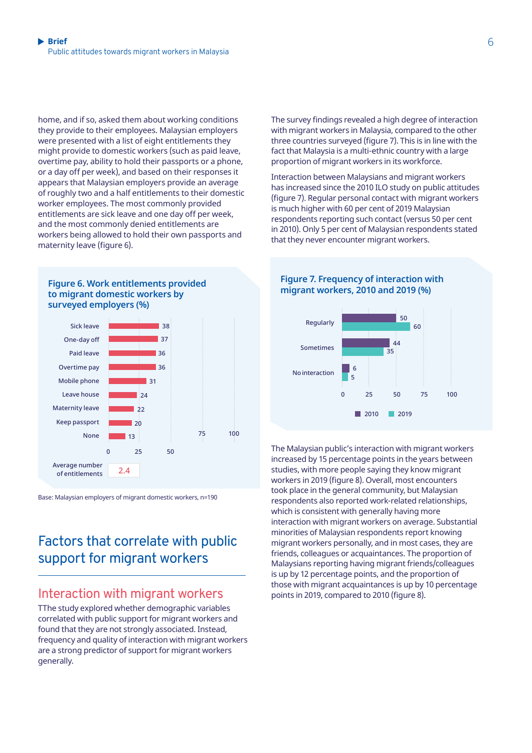home, and if so, asked them about working conditions they provide to their employees. Malaysian employers were presented with a list of eight entitlements they might provide to domestic workers (such as paid leave, overtime pay, ability to hold their passports or a phone, or a day off per week), and based on their responses it appears that Malaysian employers provide an average of roughly two and a half entitlements to their domestic worker employees. The most commonly provided entitlements are sick leave and one day off per week, and the most commonly denied entitlements are workers being allowed to hold their own passports and maternity leave (figure 6).





Base: Malaysian employers of migrant domestic workers, n=190

# Factors that correlate with public support for migrant workers

### Interaction with migrant workers

TThe study explored whether demographic variables correlated with public support for migrant workers and found that they are not strongly associated. Instead, frequency and quality of interaction with migrant workers are a strong predictor of support for migrant workers generally.

The survey findings revealed a high degree of interaction with migrant workers in Malaysia, compared to the other three countries surveyed (figure 7). This is in line with the fact that Malaysia is a multi-ethnic country with a large proportion of migrant workers in its workforce.

Interaction between Malaysians and migrant workers has increased since the 2010 ILO study on public attitudes (figure 7). Regular personal contact with migrant workers is much higher with 60 per cent of 2019 Malaysian respondents reporting such contact (versus 50 per cent in 2010). Only 5 per cent of Malaysian respondents stated that they never encounter migrant workers.



The Malaysian public's interaction with migrant workers increased by 15 percentage points in the years between studies, with more people saying they know migrant workers in 2019 (figure 8). Overall, most encounters took place in the general community, but Malaysian respondents also reported work-related relationships, which is consistent with generally having more interaction with migrant workers on average. Substantial minorities of Malaysian respondents report knowing migrant workers personally, and in most cases, they are friends, colleagues or acquaintances. The proportion of Malaysians reporting having migrant friends/colleagues is up by 12 percentage points, and the proportion of those with migrant acquaintances is up by 10 percentage points in 2019, compared to 2010 (figure 8).

#### **Figure 7. Frequency of interaction with migrant workers, 2010 and 2019 (%)**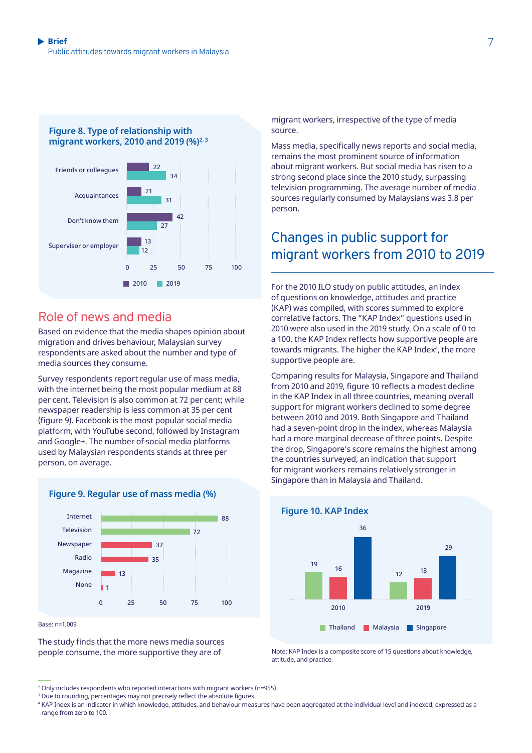

### Role of news and media

Based on evidence that the media shapes opinion about migration and drives behaviour, Malaysian survey respondents are asked about the number and type of media sources they consume.

Survey respondents report regular use of mass media, with the internet being the most popular medium at 88 per cent. Television is also common at 72 per cent; while newspaper readership is less common at 35 per cent (figure 9). Facebook is the most popular social media platform, with YouTube second, followed by Instagram and Google+. The number of social media platforms used by Malaysian respondents stands at three per person, on average.



Base: n=1,009

The study finds that the more news media sources people consume, the more supportive they are of

Mass media, specifically news reports and social media, remains the most prominent source of information about migrant workers. But social media has risen to a strong second place since the 2010 study, surpassing television programming. The average number of media sources regularly consumed by Malaysians was 3.8 per person.

# Changes in public support for migrant workers from 2010 to 2019

For the 2010 ILO study on public attitudes, an index of questions on knowledge, attitudes and practice (KAP) was compiled, with scores summed to explore correlative factors. The "KAP Index" questions used in 2010 were also used in the 2019 study. On a scale of 0 to a 100, the KAP Index reflects how supportive people are towards migrants. The higher the KAP Index<sup>4</sup>, the more supportive people are.

Comparing results for Malaysia, Singapore and Thailand from 2010 and 2019, figure 10 reflects a modest decline in the KAP Index in all three countries, meaning overall support for migrant workers declined to some degree between 2010 and 2019. Both Singapore and Thailand had a seven-point drop in the index, whereas Malaysia had a more marginal decrease of three points. Despite the drop, Singapore's score remains the highest among the countries surveyed, an indication that support for migrant workers remains relatively stronger in Singapore than in Malaysia and Thailand.



Note: KAP Index is a composite score of 15 questions about knowledge, attitude, and practice.

migrant workers, irrespective of the type of media source.

<sup>2</sup> Only includes respondents who reported interactions with migrant workers (n=955).

<sup>3</sup> Due to rounding, percentages may not precisely reflect the absolute figures.

<sup>4</sup> KAP Index is an indicator in which knowledge, attitudes, and behaviour measures have been aggregated at the individual level and indexed, expressed as a range from zero to 100.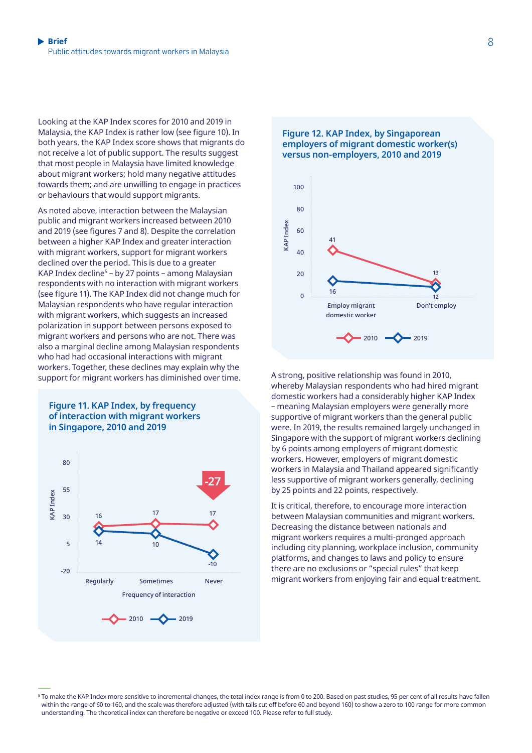Looking at the KAP Index scores for 2010 and 2019 in Malaysia, the KAP Index is rather low (see figure 10). In both years, the KAP Index score shows that migrants do not receive a lot of public support. The results suggest that most people in Malaysia have limited knowledge about migrant workers; hold many negative attitudes towards them; and are unwilling to engage in practices or behaviours that would support migrants.

As noted above, interaction between the Malaysian public and migrant workers increased between 2010 and 2019 (see figures 7 and 8). Despite the correlation between a higher KAP Index and greater interaction with migrant workers, support for migrant workers declined over the period. This is due to a greater KAP Index decline<sup>s</sup> – by 27 points – among Malaysian respondents with no interaction with migrant workers (see figure 11). The KAP Index did not change much for Malaysian respondents who have regular interaction with migrant workers, which suggests an increased polarization in support between persons exposed to migrant workers and persons who are not. There was also a marginal decline among Malaysian respondents who had had occasional interactions with migrant workers. Together, these declines may explain why the support for migrant workers has diminished over time. A strong, positive relationship was found in 2010,









whereby Malaysian respondents who had hired migrant domestic workers had a considerably higher KAP Index – meaning Malaysian employers were generally more supportive of migrant workers than the general public were. In 2019, the results remained largely unchanged in Singapore with the support of migrant workers declining by 6 points among employers of migrant domestic workers. However, employers of migrant domestic workers in Malaysia and Thailand appeared significantly less supportive of migrant workers generally, declining by 25 points and 22 points, respectively.

It is critical, therefore, to encourage more interaction between Malaysian communities and migrant workers. Decreasing the distance between nationals and migrant workers requires a multi-pronged approach including city planning, workplace inclusion, community platforms, and changes to laws and policy to ensure there are no exclusions or "special rules" that keep migrant workers from enjoying fair and equal treatment.

<sup>&</sup>lt;sup>5</sup> To make the KAP Index more sensitive to incremental changes, the total index range is from 0 to 200. Based on past studies, 95 per cent of all results have fallen within the range of 60 to 160, and the scale was therefore adjusted (with tails cut off before 60 and beyond 160) to show a zero to 100 range for more common understanding. The theoretical index can therefore be negative or exceed 100. Please refer to [full study](https://www.ilo.org/asia/publications/WCMS_732443/lang--en/index.htm).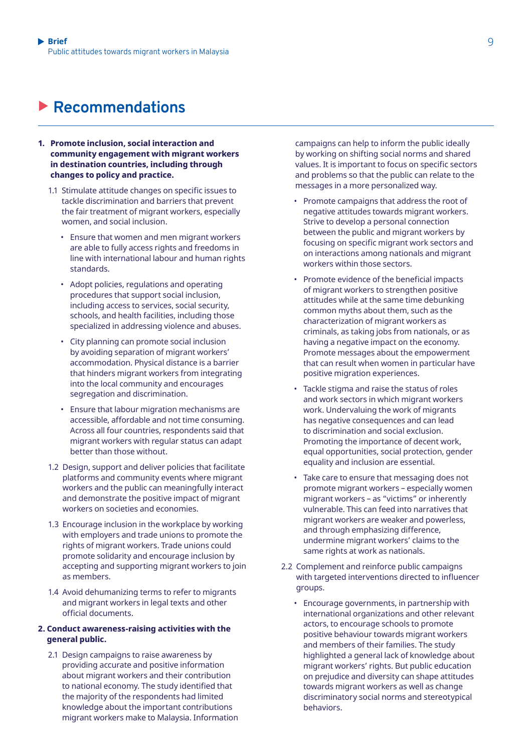# X **Recommendations**

- **1. Promote inclusion, social interaction and community engagement with migrant workers in destination countries, including through changes to policy and practice.** 
	- 1.1 Stimulate attitude changes on specific issues to tackle discrimination and barriers that prevent the fair treatment of migrant workers, especially women, and social inclusion.
		- Ensure that women and men migrant workers are able to fully access rights and freedoms in line with international labour and human rights standards.
		- Adopt policies, regulations and operating procedures that support social inclusion, including access to services, social security, schools, and health facilities, including those specialized in addressing violence and abuses.
		- City planning can promote social inclusion by avoiding separation of migrant workers' accommodation. Physical distance is a barrier that hinders migrant workers from integrating into the local community and encourages segregation and discrimination.
		- Ensure that labour migration mechanisms are accessible, affordable and not time consuming. Across all four countries, respondents said that migrant workers with regular status can adapt better than those without.
	- 1.2 Design, support and deliver policies that facilitate platforms and community events where migrant workers and the public can meaningfully interact and demonstrate the positive impact of migrant workers on societies and economies.
	- 1.3 Encourage inclusion in the workplace by working with employers and trade unions to promote the rights of migrant workers. Trade unions could promote solidarity and encourage inclusion by accepting and supporting migrant workers to join as members.
	- 1.4 Avoid dehumanizing terms to refer to migrants and migrant workers in legal texts and other official documents.

#### **2. Conduct awareness-raising activities with the general public.**

2.1 Design campaigns to raise awareness by providing accurate and positive information about migrant workers and their contribution to national economy. The study identified that the majority of the respondents had limited knowledge about the important contributions migrant workers make to Malaysia. Information campaigns can help to inform the public ideally by working on shifting social norms and shared values. It is important to focus on specific sectors and problems so that the public can relate to the messages in a more personalized way.

- Promote campaigns that address the root of negative attitudes towards migrant workers. Strive to develop a personal connection between the public and migrant workers by focusing on specific migrant work sectors and on interactions among nationals and migrant workers within those sectors.
- Promote evidence of the beneficial impacts of migrant workers to strengthen positive attitudes while at the same time debunking common myths about them, such as the characterization of migrant workers as criminals, as taking jobs from nationals, or as having a negative impact on the economy. Promote messages about the empowerment that can result when women in particular have positive migration experiences.
- Tackle stigma and raise the status of roles and work sectors in which migrant workers work. Undervaluing the work of migrants has negative consequences and can lead to discrimination and social exclusion. Promoting the importance of decent work, equal opportunities, social protection, gender equality and inclusion are essential.
- Take care to ensure that messaging does not promote migrant workers – especially women migrant workers – as "victims" or inherently vulnerable. This can feed into narratives that migrant workers are weaker and powerless, and through emphasizing difference, undermine migrant workers' claims to the same rights at work as nationals.
- 2.2 Complement and reinforce public campaigns with targeted interventions directed to influencer groups.
	- Encourage governments, in partnership with international organizations and other relevant actors, to encourage schools to promote positive behaviour towards migrant workers and members of their families. The study highlighted a general lack of knowledge about migrant workers' rights. But public education on prejudice and diversity can shape attitudes towards migrant workers as well as change discriminatory social norms and stereotypical behaviors.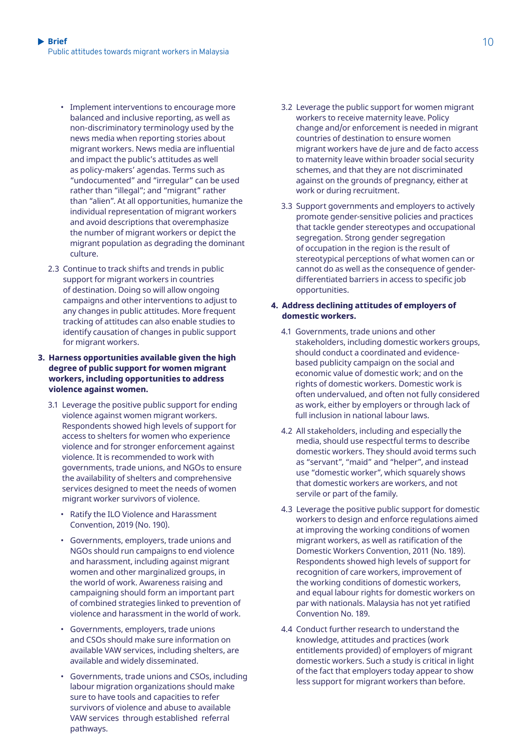- Implement interventions to encourage more balanced and inclusive reporting, as well as non-discriminatory terminology used by the news media when reporting stories about migrant workers. News media are influential and impact the public's attitudes as well as policy-makers' agendas. Terms such as "undocumented" and "irregular" can be used rather than "illegal"; and "migrant" rather than "alien". At all opportunities, humanize the individual representation of migrant workers and avoid descriptions that overemphasize the number of migrant workers or depict the migrant population as degrading the dominant culture.
- 2.3 Continue to track shifts and trends in public support for migrant workers in countries of destination. Doing so will allow ongoing campaigns and other interventions to adjust to any changes in public attitudes. More frequent tracking of attitudes can also enable studies to identify causation of changes in public support for migrant workers.

#### **3. Harness opportunities available given the high degree of public support for women migrant workers, including opportunities to address violence against women.**

- 3.1 Leverage the positive public support for ending violence against women migrant workers. Respondents showed high levels of support for access to shelters for women who experience violence and for stronger enforcement against violence. It is recommended to work with governments, trade unions, and NGOs to ensure the availability of shelters and comprehensive services designed to meet the needs of women migrant worker survivors of violence.
	- Ratify the ILO Violence and Harassment Convention, 2019 (No. 190).
	- Governments, employers, trade unions and NGOs should run campaigns to end violence and harassment, including against migrant women and other marginalized groups, in the world of work. Awareness raising and campaigning should form an important part of combined strategies linked to prevention of violence and harassment in the world of work.
	- Governments, employers, trade unions and CSOs should make sure information on available VAW services, including shelters, are available and widely disseminated.
	- Governments, trade unions and CSOs, including labour migration organizations should make sure to have tools and capacities to refer survivors of violence and abuse to available VAW services through established referral pathways.
- 3.2 Leverage the public support for women migrant workers to receive maternity leave. Policy change and/or enforcement is needed in migrant countries of destination to ensure women migrant workers have de jure and de facto access to maternity leave within broader social security schemes, and that they are not discriminated against on the grounds of pregnancy, either at work or during recruitment.
- 3.3 Support governments and employers to actively promote gender-sensitive policies and practices that tackle gender stereotypes and occupational segregation. Strong gender segregation of occupation in the region is the result of stereotypical perceptions of what women can or cannot do as well as the consequence of genderdifferentiated barriers in access to specific job opportunities.

#### **4. Address declining attitudes of employers of domestic workers.**

- 4.1 Governments, trade unions and other stakeholders, including domestic workers groups, should conduct a coordinated and evidencebased publicity campaign on the social and economic value of domestic work; and on the rights of domestic workers. Domestic work is often undervalued, and often not fully considered as work, either by employers or through lack of full inclusion in national labour laws.
- 4.2 All stakeholders, including and especially the media, should use respectful terms to describe domestic workers. They should avoid terms such as "servant", "maid" and "helper", and instead use "domestic worker", which squarely shows that domestic workers are workers, and not servile or part of the family.
- 4.3 Leverage the positive public support for domestic workers to design and enforce regulations aimed at improving the working conditions of women migrant workers, as well as ratification of the Domestic Workers Convention, 2011 (No. 189). Respondents showed high levels of support for recognition of care workers, improvement of the working conditions of domestic workers, and equal labour rights for domestic workers on par with nationals. Malaysia has not yet ratified Convention No. 189.
- 4.4 Conduct further research to understand the knowledge, attitudes and practices (work entitlements provided) of employers of migrant domestic workers. Such a study is critical in light of the fact that employers today appear to show less support for migrant workers than before.